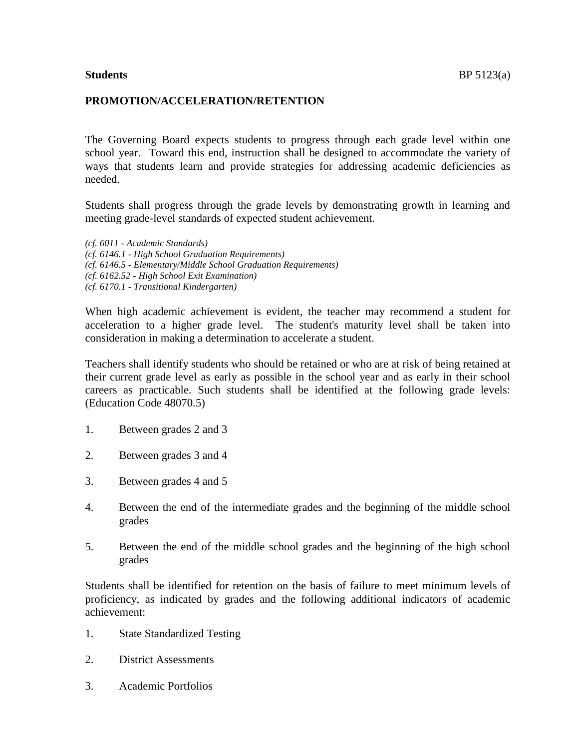## **PROMOTION/ACCELERATION/RETENTION**

The Governing Board expects students to progress through each grade level within one school year. Toward this end, instruction shall be designed to accommodate the variety of ways that students learn and provide strategies for addressing academic deficiencies as needed.

Students shall progress through the grade levels by demonstrating growth in learning and meeting grade-level standards of expected student achievement.

*(cf. 6011 - Academic Standards) (cf. 6146.1 - High School Graduation Requirements) (cf. 6146.5 - Elementary/Middle School Graduation Requirements) (cf. 6162.52 - High School Exit Examination) (cf. 6170.1 - Transitional Kindergarten)*

When high academic achievement is evident, the teacher may recommend a student for acceleration to a higher grade level. The student's maturity level shall be taken into consideration in making a determination to accelerate a student.

Teachers shall identify students who should be retained or who are at risk of being retained at their current grade level as early as possible in the school year and as early in their school careers as practicable. Such students shall be identified at the following grade levels: (Education Code 48070.5)

- 1. Between grades 2 and 3
- 2. Between grades 3 and 4
- 3. Between grades 4 and 5
- 4. Between the end of the intermediate grades and the beginning of the middle school grades
- 5. Between the end of the middle school grades and the beginning of the high school grades

Students shall be identified for retention on the basis of failure to meet minimum levels of proficiency, as indicated by grades and the following additional indicators of academic achievement:

- 1. State Standardized Testing
- 2. District Assessments
- 3. Academic Portfolios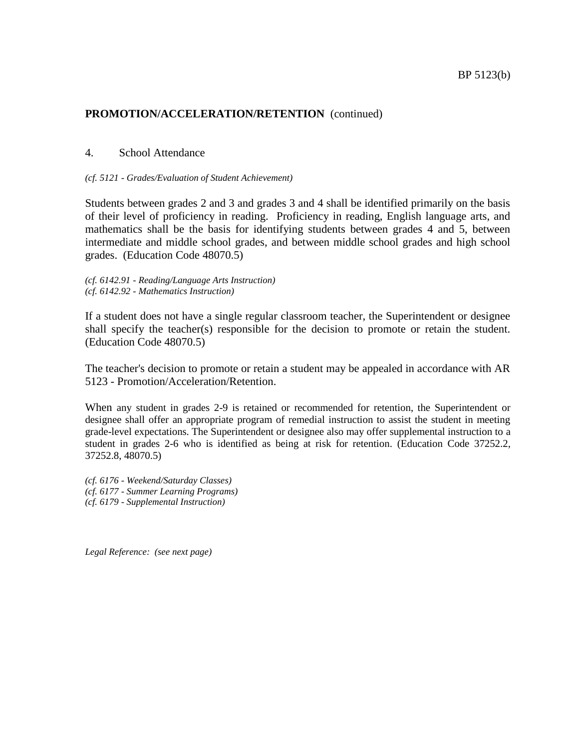#### 4. School Attendance

#### *(cf. 5121 - Grades/Evaluation of Student Achievement)*

Students between grades 2 and 3 and grades 3 and 4 shall be identified primarily on the basis of their level of proficiency in reading. Proficiency in reading, English language arts, and mathematics shall be the basis for identifying students between grades 4 and 5, between intermediate and middle school grades, and between middle school grades and high school grades. (Education Code 48070.5)

*(cf. 6142.91 - Reading/Language Arts Instruction) (cf. 6142.92 - Mathematics Instruction)*

If a student does not have a single regular classroom teacher, the Superintendent or designee shall specify the teacher(s) responsible for the decision to promote or retain the student. (Education Code 48070.5)

The teacher's decision to promote or retain a student may be appealed in accordance with AR 5123 - Promotion/Acceleration/Retention.

When any student in grades 2-9 is retained or recommended for retention, the Superintendent or designee shall offer an appropriate program of remedial instruction to assist the student in meeting grade-level expectations. The Superintendent or designee also may offer supplemental instruction to a student in grades 2-6 who is identified as being at risk for retention. (Education Code 37252.2, 37252.8, 48070.5)

*(cf. 6176 - Weekend/Saturday Classes) (cf. 6177 - Summer Learning Programs) (cf. 6179 - Supplemental Instruction)*

*Legal Reference: (see next page)*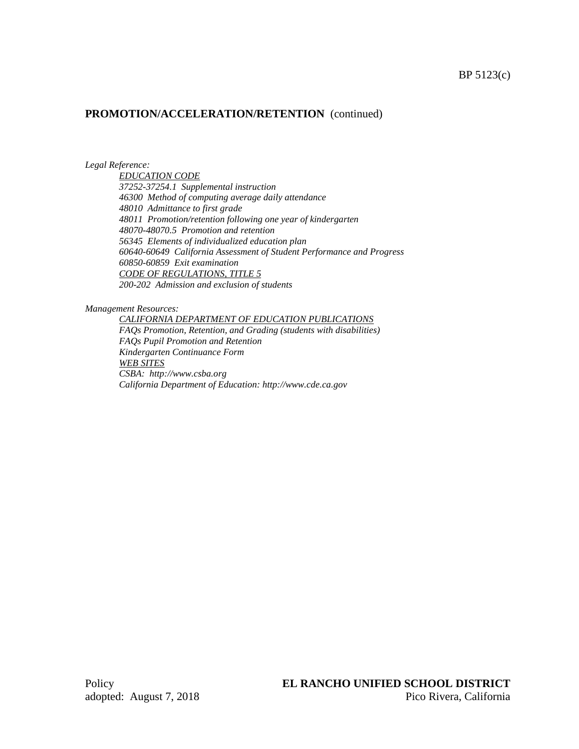#### *Legal Reference:*

*EDUCATION CODE 37252-37254.1 Supplemental instruction 46300 Method of computing average daily attendance 48010 Admittance to first grade 48011 Promotion/retention following one year of kindergarten 48070-48070.5 Promotion and retention 56345 Elements of individualized education plan 60640-60649 California Assessment of Student Performance and Progress 60850-60859 Exit examination CODE OF REGULATIONS, TITLE 5 200-202 Admission and exclusion of students*

*Management Resources:*

*CALIFORNIA DEPARTMENT OF EDUCATION PUBLICATIONS FAQs Promotion, Retention, and Grading (students with disabilities) FAQs Pupil Promotion and Retention Kindergarten Continuance Form WEB SITES CSBA: http://www.csba.org California Department of Education: http://www.cde.ca.gov*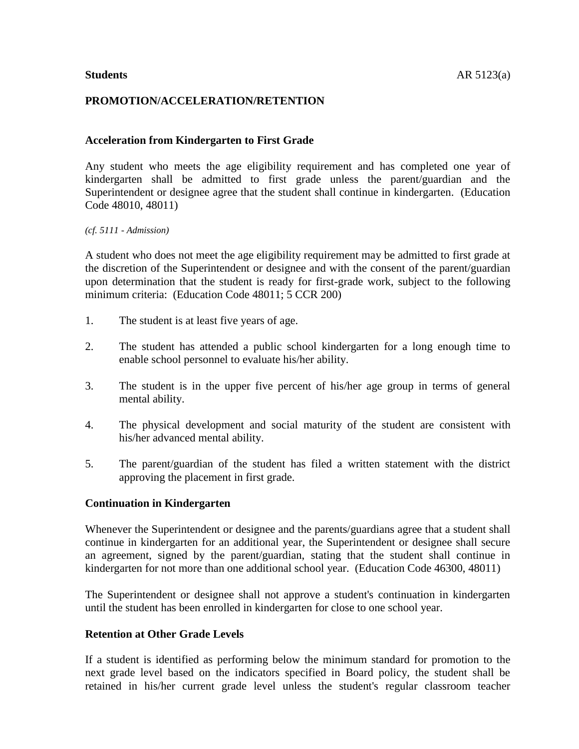## **PROMOTION/ACCELERATION/RETENTION**

#### **Acceleration from Kindergarten to First Grade**

Any student who meets the age eligibility requirement and has completed one year of kindergarten shall be admitted to first grade unless the parent/guardian and the Superintendent or designee agree that the student shall continue in kindergarten. (Education Code 48010, 48011)

*(cf. 5111 - Admission)*

A student who does not meet the age eligibility requirement may be admitted to first grade at the discretion of the Superintendent or designee and with the consent of the parent/guardian upon determination that the student is ready for first-grade work, subject to the following minimum criteria: (Education Code 48011; 5 CCR 200)

- 1. The student is at least five years of age.
- 2. The student has attended a public school kindergarten for a long enough time to enable school personnel to evaluate his/her ability.
- 3. The student is in the upper five percent of his/her age group in terms of general mental ability.
- 4. The physical development and social maturity of the student are consistent with his/her advanced mental ability.
- 5. The parent/guardian of the student has filed a written statement with the district approving the placement in first grade.

#### **Continuation in Kindergarten**

Whenever the Superintendent or designee and the parents/guardians agree that a student shall continue in kindergarten for an additional year, the Superintendent or designee shall secure an agreement, signed by the parent/guardian, stating that the student shall continue in kindergarten for not more than one additional school year. (Education Code 46300, 48011)

The Superintendent or designee shall not approve a student's continuation in kindergarten until the student has been enrolled in kindergarten for close to one school year.

#### **Retention at Other Grade Levels**

If a student is identified as performing below the minimum standard for promotion to the next grade level based on the indicators specified in Board policy, the student shall be retained in his/her current grade level unless the student's regular classroom teacher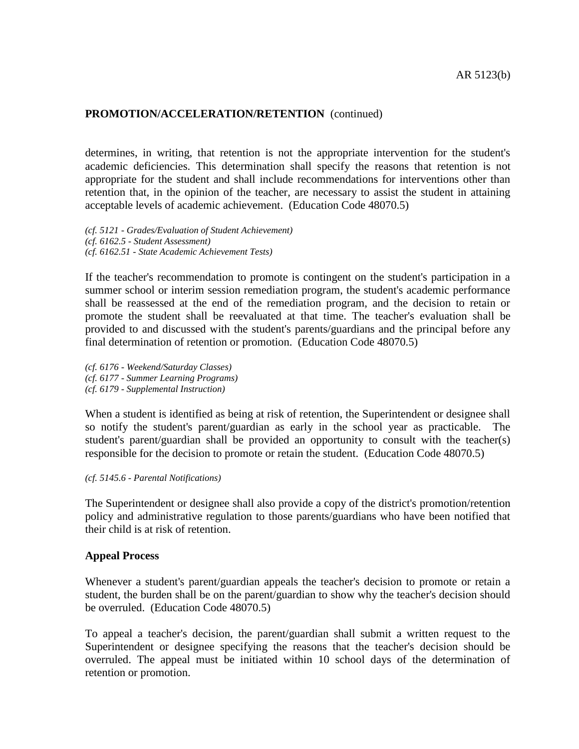determines, in writing, that retention is not the appropriate intervention for the student's academic deficiencies. This determination shall specify the reasons that retention is not appropriate for the student and shall include recommendations for interventions other than retention that, in the opinion of the teacher, are necessary to assist the student in attaining acceptable levels of academic achievement. (Education Code 48070.5)

*(cf. 5121 - Grades/Evaluation of Student Achievement) (cf. 6162.5 - Student Assessment) (cf. 6162.51 - State Academic Achievement Tests)*

If the teacher's recommendation to promote is contingent on the student's participation in a summer school or interim session remediation program, the student's academic performance shall be reassessed at the end of the remediation program, and the decision to retain or promote the student shall be reevaluated at that time. The teacher's evaluation shall be provided to and discussed with the student's parents/guardians and the principal before any final determination of retention or promotion. (Education Code 48070.5)

*(cf. 6176 - Weekend/Saturday Classes) (cf. 6177 - Summer Learning Programs) (cf. 6179 - Supplemental Instruction)*

When a student is identified as being at risk of retention, the Superintendent or designee shall so notify the student's parent/guardian as early in the school year as practicable. The student's parent/guardian shall be provided an opportunity to consult with the teacher(s) responsible for the decision to promote or retain the student. (Education Code 48070.5)

#### *(cf. 5145.6 - Parental Notifications)*

The Superintendent or designee shall also provide a copy of the district's promotion/retention policy and administrative regulation to those parents/guardians who have been notified that their child is at risk of retention.

#### **Appeal Process**

Whenever a student's parent/guardian appeals the teacher's decision to promote or retain a student, the burden shall be on the parent/guardian to show why the teacher's decision should be overruled. (Education Code 48070.5)

To appeal a teacher's decision, the parent/guardian shall submit a written request to the Superintendent or designee specifying the reasons that the teacher's decision should be overruled. The appeal must be initiated within 10 school days of the determination of retention or promotion.